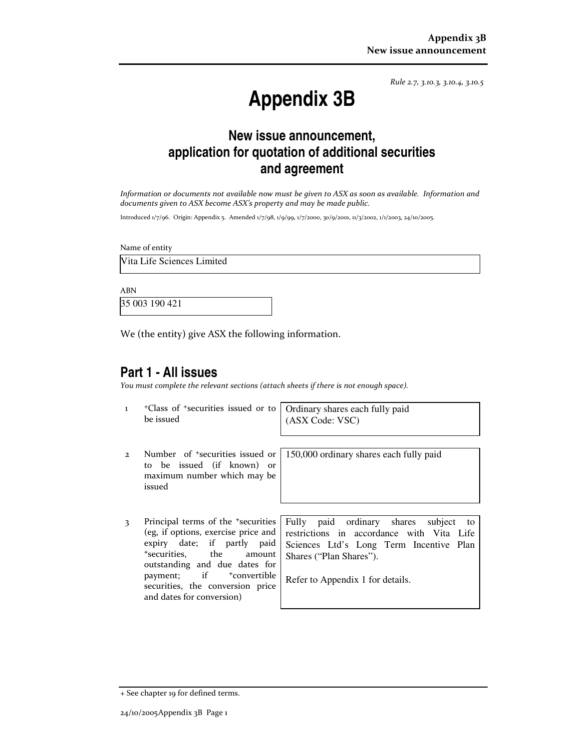Rule 2.7, 3.10.3, 3.10.4, 3.10.5

# **Appendix 3B**

# **New issue announcement, application for quotation of additional securities and agreement**

Information or documents not available now must be given to ASX as soon as available. Information and documents given to ASX become ASX's property and may be made public.

Introduced 1/7/96. Origin: Appendix 5. Amended 1/7/98, 1/9/99, 1/7/2000, 30/9/2001, 11/3/2002, 1/1/2003, 24/10/2005.

Name of entity

Vita Life Sciences Limited

ABN

35 003 190 421

We (the entity) give ASX the following information.

#### **Part 1 - All issues**

You must complete the relevant sections (attach sheets if there is not enough space).

1 +Class of +securities issued or to be issued

Ordinary shares each fully paid (ASX Code: VSC)

- 2 Number of +securities issued or to be issued (if known) or maximum number which may be issued
- 

150,000 ordinary shares each fully paid

3 Principal terms of the <sup>+</sup>securities (eg, if options, exercise price and expiry date; if partly paid <sup>+</sup>securities, the amount outstanding and due dates for payment; if <sup>+</sup>convertible securities, the conversion price and dates for conversion)

Fully paid ordinary shares subject to restrictions in accordance with Vita Life Sciences Ltd's Long Term Incentive Plan Shares ("Plan Shares").

Refer to Appendix 1 for details.

<sup>+</sup> See chapter 19 for defined terms.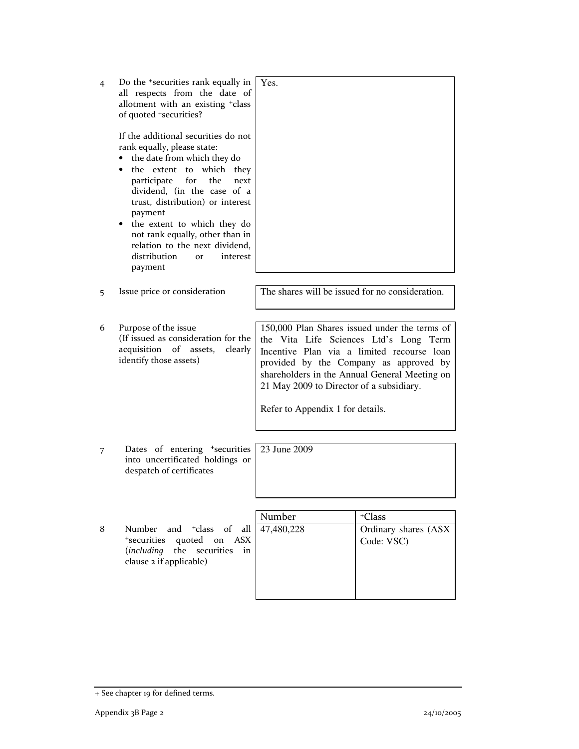| 4 | Do the <sup>+</sup> securities rank equally in<br>all respects from the date of<br>allotment with an existing +class<br>of quoted *securities?                                                                                                                                                                                                                                                                             | Yes.                                                                                                                                                                                                                                                                                                             |                                              |
|---|----------------------------------------------------------------------------------------------------------------------------------------------------------------------------------------------------------------------------------------------------------------------------------------------------------------------------------------------------------------------------------------------------------------------------|------------------------------------------------------------------------------------------------------------------------------------------------------------------------------------------------------------------------------------------------------------------------------------------------------------------|----------------------------------------------|
|   | If the additional securities do not<br>rank equally, please state:<br>the date from which they do<br>$\bullet$<br>the extent to which they<br>٠<br>participate<br>for<br>the<br>next<br>dividend, (in the case of a<br>trust, distribution) or interest<br>payment<br>the extent to which they do<br>not rank equally, other than in<br>relation to the next dividend,<br>distribution<br>interest<br><b>Or</b><br>payment |                                                                                                                                                                                                                                                                                                                  |                                              |
|   | Issue price or consideration                                                                                                                                                                                                                                                                                                                                                                                               | The shares will be issued for no consideration.                                                                                                                                                                                                                                                                  |                                              |
| 5 |                                                                                                                                                                                                                                                                                                                                                                                                                            |                                                                                                                                                                                                                                                                                                                  |                                              |
|   |                                                                                                                                                                                                                                                                                                                                                                                                                            |                                                                                                                                                                                                                                                                                                                  |                                              |
| 6 | Purpose of the issue<br>(If issued as consideration for the<br>acquisition of assets,<br>clearly<br>identify those assets)                                                                                                                                                                                                                                                                                                 | 150,000 Plan Shares issued under the terms of<br>the Vita Life Sciences Ltd's Long Term<br>Incentive Plan via a limited recourse loan<br>provided by the Company as approved by<br>shareholders in the Annual General Meeting on<br>21 May 2009 to Director of a subsidiary.<br>Refer to Appendix 1 for details. |                                              |
|   |                                                                                                                                                                                                                                                                                                                                                                                                                            |                                                                                                                                                                                                                                                                                                                  |                                              |
| 7 | Dates of entering *securities<br>into uncertificated holdings or<br>despatch of certificates                                                                                                                                                                                                                                                                                                                               | 23 June 2009                                                                                                                                                                                                                                                                                                     |                                              |
|   |                                                                                                                                                                                                                                                                                                                                                                                                                            |                                                                                                                                                                                                                                                                                                                  |                                              |
| 8 | Number<br>and <sup>+</sup> class of<br>all<br>quoted<br>*securities<br>on<br>ASX.<br>(including the<br>securities<br>in<br>clause 2 if applicable)                                                                                                                                                                                                                                                                         | Number<br>47,480,228                                                                                                                                                                                                                                                                                             | +Class<br>Ordinary shares (ASX<br>Code: VSC) |

<sup>+</sup> See chapter 19 for defined terms.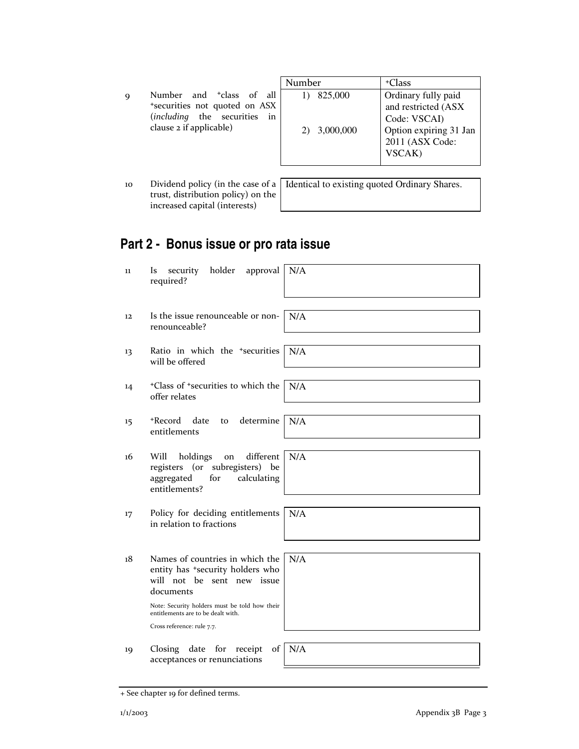|   |                                                                                                                                     | Number |                      | +Class                                                                                                            |
|---|-------------------------------------------------------------------------------------------------------------------------------------|--------|----------------------|-------------------------------------------------------------------------------------------------------------------|
| Q | Number and <sup>+</sup> class of all<br>*securities not quoted on ASX<br>(including the securities<br>in<br>clause 2 if applicable) |        | 825,000<br>3,000,000 | Ordinary fully paid<br>and restricted (ASX<br>Code: VSCAI)<br>Option expiring 31 Jan<br>2011 (ASX Code:<br>VSCAK) |

10 Dividend policy (in the case of a trust, distribution policy) on the increased capital (interests)

Identical to existing quoted Ordinary Shares.

# **Part 2 - Bonus issue or pro rata issue**

11 Is security holder approval required? N/A 12 Is the issue renounceable or nonrenounceable? N/A 13 Ratio in which the +securities will be offered N/A 14 <sup>+</sup>Class of <sup>+</sup>securities to which the offer relates N/A 15 <sup>+</sup>Record date to determine entitlements N/A 16 Will holdings on different registers (or subregisters) be aggregated for entitlements? N/A 17 Policy for deciding entitlements in relation to fractions N/A 18 Names of countries in which the entity has <sup>+</sup>security holders who will not be sent new issue documents Note: Security holders must be told how their entitlements are to be dealt with. Cross reference: rule 7.7. N/A 19 Closing date for receipt of acceptances or renunciations N/A

<sup>+</sup> See chapter 19 for defined terms.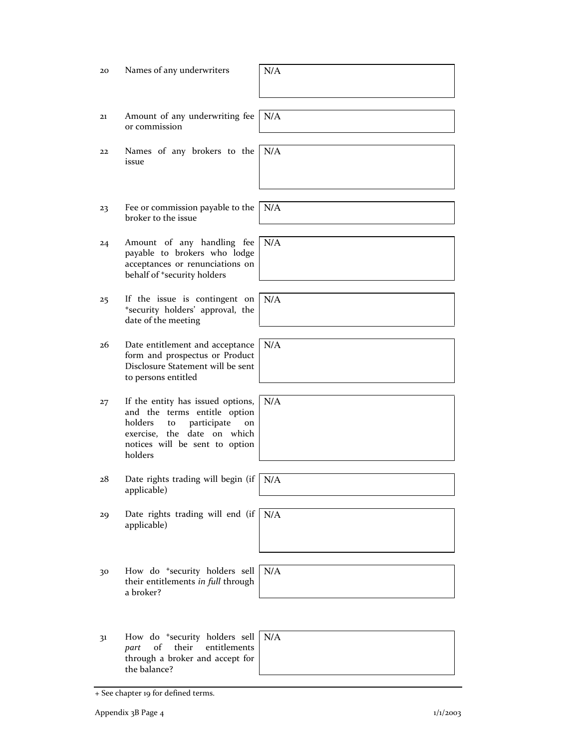| 20 | Names of any underwriters                                                                                                                                                           | N/A |
|----|-------------------------------------------------------------------------------------------------------------------------------------------------------------------------------------|-----|
| 21 | Amount of any underwriting fee<br>or commission                                                                                                                                     | N/A |
| 22 | Names of any brokers to the<br>issue                                                                                                                                                | N/A |
| 23 | Fee or commission payable to the<br>broker to the issue                                                                                                                             | N/A |
| 24 | Amount of any handling fee<br>payable to brokers who lodge<br>acceptances or renunciations on<br>behalf of *security holders                                                        | N/A |
| 25 | If the issue is contingent on<br>*security holders' approval, the<br>date of the meeting                                                                                            | N/A |
| 26 | Date entitlement and acceptance<br>form and prospectus or Product<br>Disclosure Statement will be sent<br>to persons entitled                                                       | N/A |
| 27 | If the entity has issued options,<br>and the terms entitle option<br>holders<br>participate<br>to<br>on<br>exercise, the date on which<br>notices will be sent to option<br>holders | N/A |
| 28 | Date rights trading will begin (if<br>applicable)                                                                                                                                   | N/A |
| 29 | Date rights trading will end (if<br>applicable)                                                                                                                                     | N/A |
| 30 | How do <sup>+</sup> security holders sell<br>their entitlements in full through<br>a broker?                                                                                        | N/A |
| 31 | How do *security holders sell<br>entitlements<br>of<br>their<br>part<br>through a broker and accept for<br>the balance?                                                             | N/A |

<sup>+</sup> See chapter 19 for defined terms.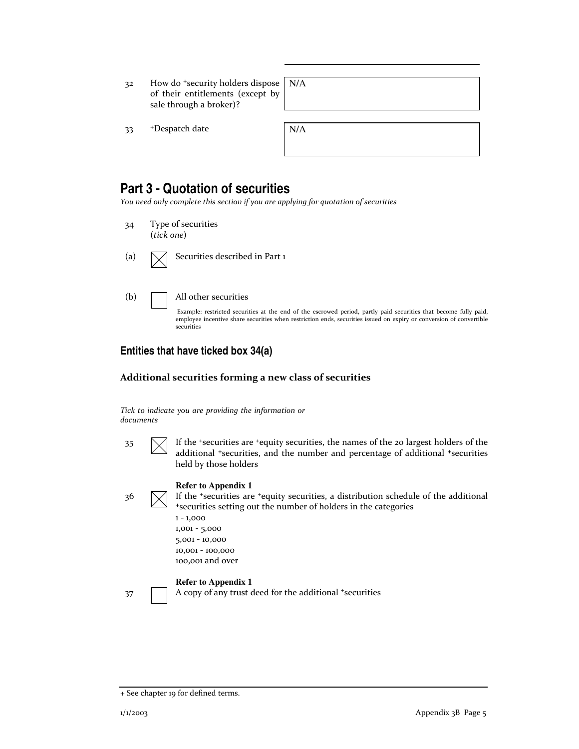32 How do <sup>+</sup>security holders dispose of their entitlements (except by sale through a broker)?

N/A

33 +Despatch date

| N/A |  |  |  |
|-----|--|--|--|
|     |  |  |  |
|     |  |  |  |

## **Part 3 - Quotation of securities**

You need only complete this section if you are applying for quotation of securities

- 34 Type of securities (tick one)
- 

(a)  $\bigvee$  Securities described in Part 1

(b) All other securities

Example: restricted securities at the end of the escrowed period, partly paid securities that become fully paid, employee incentive share securities when restriction ends, securities issued on expiry or conversion of convertible securities

### **Entities that have ticked box 34(a)**

#### Additional securities forming a new class of securities

Tick to indicate you are providing the information or documents

- 
- $\mathcal{I}$  If the +securities are +equity securities, the names of the 20 largest holders of the additional <sup>+</sup>securities, and the number and percentage of additional <sup>+</sup>securities held by those holders

#### **Refer to Appendix 1**

 $36 \quad \boxed{\diagdown}$  If the <sup>+</sup>securities are <sup>+</sup>equity securities, a distribution schedule of the additional <sup>+</sup>securities setting out the number of holders in the categories

> 1 - 1,000 1,001 - 5,000 5,001 - 10,000 10,001 - 100,000 100,001 and over

#### **Refer to Appendix 1**

37 A copy of any trust deed for the additional +securities

<sup>+</sup> See chapter 19 for defined terms.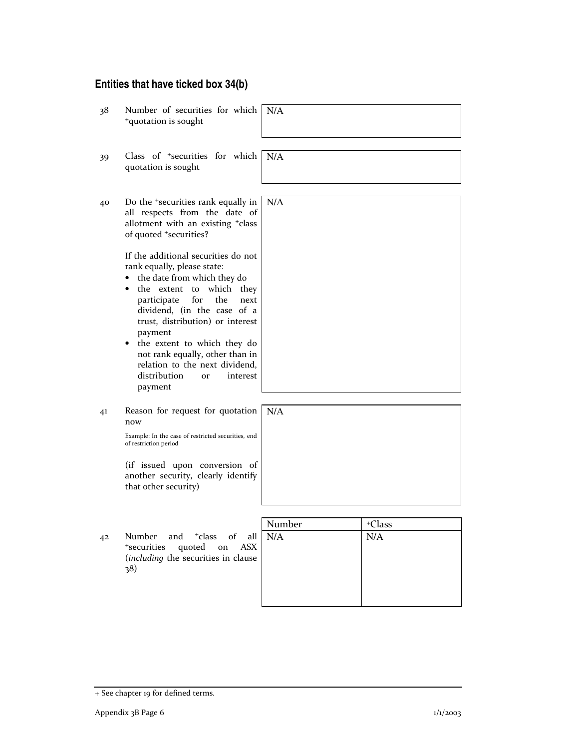## **Entities that have ticked box 34(b)**

| N/A    |
|--------|
| +Class |

<sup>+</sup> See chapter 19 for defined terms.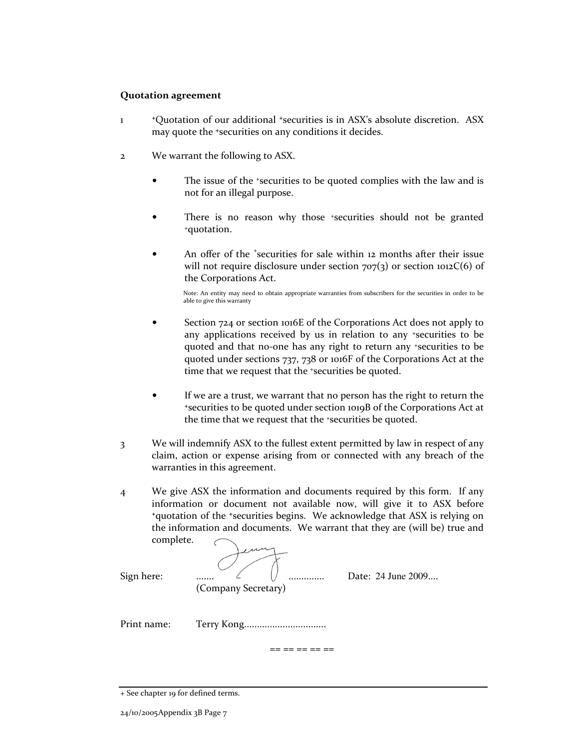#### Quotation agreement

- 1 <sup>+</sup>Quotation of our additional <sup>+</sup>securities is in ASX's absolute discretion. ASX may quote the <sup>+</sup>securities on any conditions it decides.
- 2 We warrant the following to ASX.
	- The issue of the +securities to be quoted complies with the law and is not for an illegal purpose.
	- There is no reason why those \*securities should not be granted <sup>+</sup>quotation.
	- An offer of the *'securities* for sale within 12 months after their issue will not require disclosure under section  $707(3)$  or section  $1012C(6)$  of the Corporations Act.

Note: An entity may need to obtain appropriate warranties from subscribers for the securities in order to be able to give this warranty

- Section 724 or section 1016E of the Corporations Act does not apply to any applications received by us in relation to any +securities to be quoted and that no-one has any right to return any +securities to be quoted under sections 737, 738 or 1016F of the Corporations Act at the time that we request that the <sup>+</sup>securities be quoted.
- If we are a trust, we warrant that no person has the right to return the <sup>+</sup>securities to be quoted under section 1019B of the Corporations Act at the time that we request that the +securities be quoted.
- 3 We will indemnify ASX to the fullest extent permitted by law in respect of any claim, action or expense arising from or connected with any breach of the warranties in this agreement.
- 4 We give ASX the information and documents required by this form. If any information or document not available now, will give it to ASX before <sup>+</sup>quotation of the <sup>+</sup>securities begins. We acknowledge that ASX is relying on the information and documents. We warrant that they are (will be) true and complete.

Sign here: .................................................. Date: 24 June 2009.... (Company Secretary)

Print name: Terry Kong................................

 $== == == == ==$ 

<sup>+</sup> See chapter 19 for defined terms.